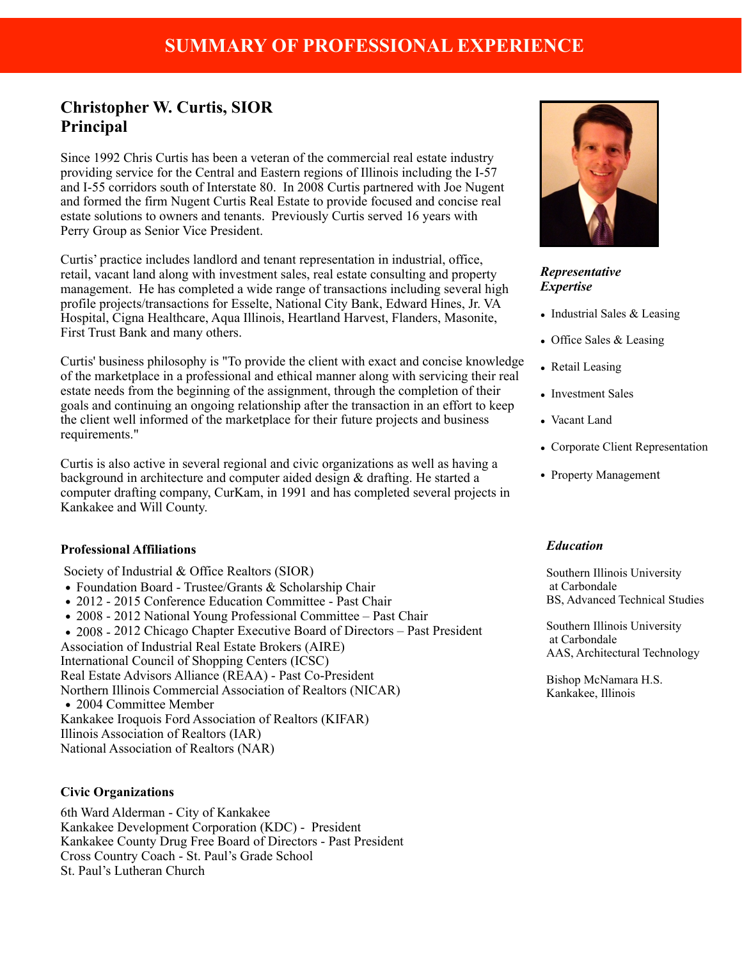# **Christopher W. Curtis, SIOR Principal**

Since 1992 Chris Curtis has been a veteran of the commercial real estate industry providing service for the Central and Eastern regions of Illinois including the I-57 and I-55 corridors south of Interstate 80. In 2008 Curtis partnered with Joe Nugent and formed the firm Nugent Curtis Real Estate to provide focused and concise real estate solutions to owners and tenants. Previously Curtis served 16 years with Perry Group as Senior Vice President.

Curtis' practice includes landlord and tenant representation in industrial, office, retail, vacant land along with investment sales, real estate consulting and property management. He has completed a wide range of transactions including several high profile projects/transactions for Esselte, National City Bank, Edward Hines, Jr. VA Hospital, Cigna Healthcare, Aqua Illinois, Heartland Harvest, Flanders, Masonite, First Trust Bank and many others.

Curtis' business philosophy is "To provide the client with exact and concise knowledge of the marketplace in a professional and ethical manner along with servicing their real estate needs from the beginning of the assignment, through the completion of their goals and continuing an ongoing relationship after the transaction in an effort to keep the client well informed of the marketplace for their future projects and business requirements."

Curtis is also active in several regional and civic organizations as well as having a background in architecture and computer aided design & drafting. He started a computer drafting company, CurKam, in 1991 and has completed several projects in Kankakee and Will County.

## **Professional Affiliations**

Society of Industrial & Office Realtors (SIOR)

- **•** Foundation Board Trustee/Grants & Scholarship Chair
- 2012 2015 Conference Education Committee Past Chair
- **•** 2008 2012 National Young Professional Committee Past Chair
- **•** 2008 2012 Chicago Chapter Executive Board of Directors Past President
- Association of Industrial Real Estate Brokers (AIRE)

International Council of Shopping Centers (ICSC) Real Estate Advisors Alliance (REAA) - Past Co-President Northern Illinois Commercial Association of Realtors (NICAR) • 2004 Committee Member Kankakee Iroquois Ford Association of Realtors (KIFAR)

Illinois Association of Realtors (IAR)

National Association of Realtors (NAR)

## **Civic Organizations**

6th Ward Alderman - City of Kankakee Kankakee Development Corporation (KDC) - President Kankakee County Drug Free Board of Directors - Past President Cross Country Coach - St. Paul's Grade School St. Paul's Lutheran Church



# *Representative Expertise*

- Industrial Sales & Leasing
- Office Sales & Leasing
- Retail Leasing
- Investment Sales
- Vacant Land
- Corporate Client Representation
- Property Management

## *Education*

Southern Illinois University at Carbondale BS, Advanced Technical Studies

Southern Illinois University at Carbondale AAS, Architectural Technology

Bishop McNamara H.S. Kankakee, Illinois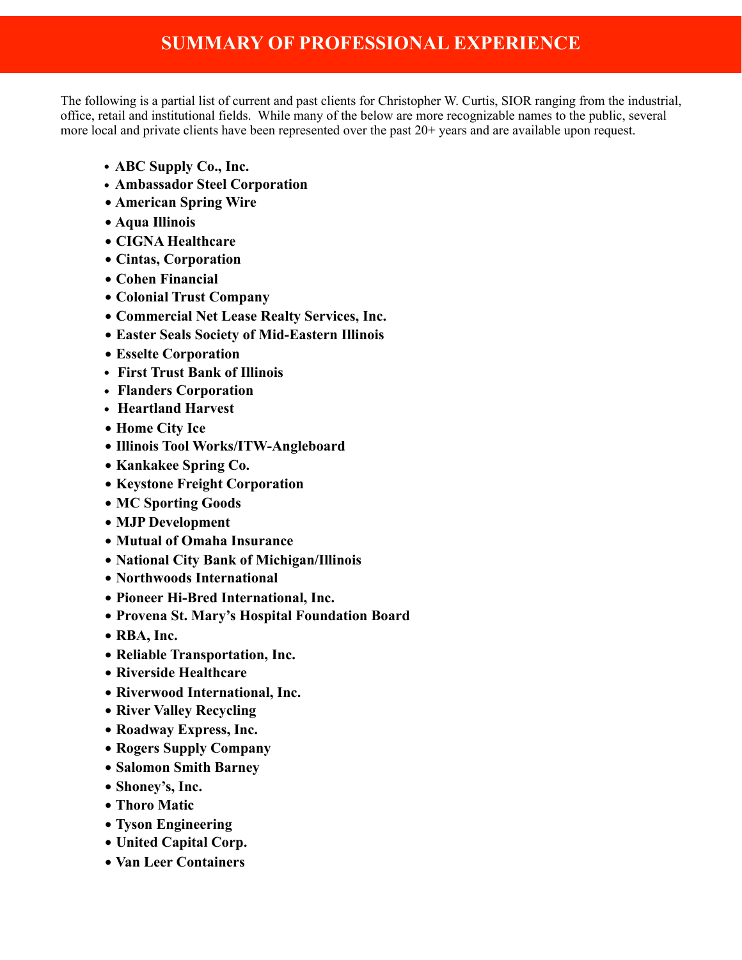# **SUMMARY OF PROFESSIONAL EXPERIENCE**

The following is a partial list of current and past clients for Christopher W. Curtis, SIOR ranging from the industrial, office, retail and institutional fields. While many of the below are more recognizable names to the public, several more local and private clients have been represented over the past 20+ years and are available upon request.

- **• ABC Supply Co., Inc.**
- **• Ambassador Steel Corporation**
- • **American Spring Wire**
- • **Aqua Illinois**
- • **CIGNA Healthcare**
- • **Cintas, Corporation**
- • **Cohen Financial**
- • **Colonial Trust Company**
- • **Commercial Net Lease Realty Services, Inc.**
- • **Easter Seals Society of Mid-Eastern Illinois**
- • **Esselte Corporation**
- **• First Trust Bank of Illinois**
- **• Flanders Corporation**
- **• Heartland Harvest**
- • **Home City Ice**
- • **Illinois Tool Works/ITW-Angleboard**
- • **Kankakee Spring Co.**
- • **Keystone Freight Corporation**
- • **MC Sporting Goods**
- • **MJP Development**
- • **Mutual of Omaha Insurance**
- • **National City Bank of Michigan/Illinois**
- • **Northwoods International**
- • **Pioneer Hi-Bred International, Inc.**
- • **Provena St. Mary's Hospital Foundation Board**
- • **RBA, Inc.**
- • **Reliable Transportation, Inc.**
- • **Riverside Healthcare**
- • **Riverwood International, Inc.**
- • **River Valley Recycling**
- • **Roadway Express, Inc.**
- • **Rogers Supply Company**
- • **Salomon Smith Barney**
- • **Shoney's, Inc.**
- • **Thoro Matic**
- • **Tyson Engineering**
- • **United Capital Corp.**
- • **Van Leer Containers**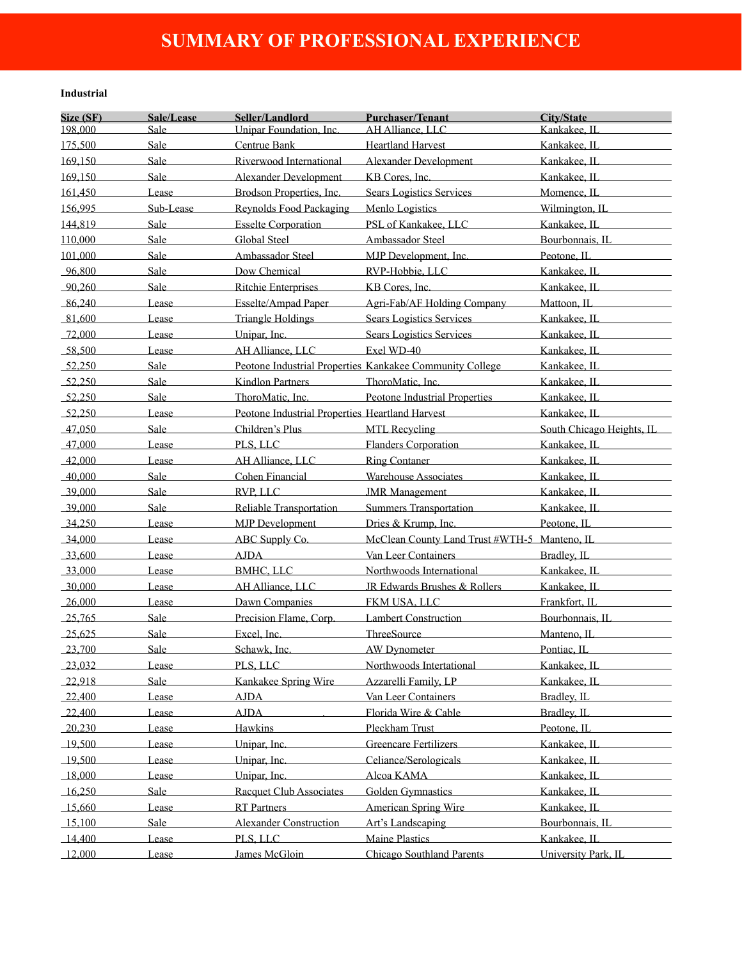# **SUMMARY OF PROFESSIONAL EXPERIENCE**

#### **Industrial**

| Size (SF)<br>Seller/Landlord<br><b>Purchaser/Tenant</b><br>City/State<br>Sale/Lease                                                                                                                                                                                                                      |  |
|----------------------------------------------------------------------------------------------------------------------------------------------------------------------------------------------------------------------------------------------------------------------------------------------------------|--|
| 198,000<br>Unipar Foundation, Inc.<br>Kankakee, IL<br>AH Alliance, LLC<br>Sale                                                                                                                                                                                                                           |  |
| 175.500<br>Sale<br>Centrue Bank<br><b>Heartland Harvest</b><br>Kankakee, IL                                                                                                                                                                                                                              |  |
| Sale<br>Riverwood International<br>169,150<br><b>Alexander Development</b><br>Kankakee, IL                                                                                                                                                                                                               |  |
| 169,150<br>Sale<br><b>Alexander Development</b><br>KB Cores, Inc.<br>Kankakee, IL                                                                                                                                                                                                                        |  |
| Brodson Properties, Inc.<br><b>Sears Logistics Services</b><br>161,450<br>Lease<br>Momence, IL                                                                                                                                                                                                           |  |
| Reynolds Food Packaging<br>156,995<br>Menlo Logistics<br>Wilmington, IL<br>Sub-Lease                                                                                                                                                                                                                     |  |
| <b>Esselte Corporation</b><br>144,819<br>Sale<br>PSL of Kankakee, LLC<br>Kankakee, IL                                                                                                                                                                                                                    |  |
| Global Steel<br>110,000<br>Sale<br>Ambassador Steel<br>Bourbonnais, IL                                                                                                                                                                                                                                   |  |
| Sale<br>Ambassador Steel<br>101,000<br>MJP Development, Inc.<br>Peotone, IL                                                                                                                                                                                                                              |  |
| Dow Chemical<br>RVP-Hobbie, LLC<br>96,800<br>Sale<br>Kankakee, IL                                                                                                                                                                                                                                        |  |
| KB Cores, Inc.<br>90,260<br>Sale<br><b>Ritchie Enterprises</b><br>Kankakee, IL                                                                                                                                                                                                                           |  |
| 86,240<br>Esselte/Ampad Paper<br>Agri-Fab/AF Holding Company<br>Lease<br>Mattoon, IL                                                                                                                                                                                                                     |  |
| <b>Sears Logistics Services</b><br>81,600<br>Triangle Holdings<br>Kankakee, IL<br>Lease                                                                                                                                                                                                                  |  |
| <b>Sears Logistics Services</b><br>$-72,000$<br>Unipar, Inc.<br>Kankakee, IL<br>Lease                                                                                                                                                                                                                    |  |
| Exel WD-40<br>AH Alliance, LLC<br>58,500<br>Kankakee, IL<br>Lease                                                                                                                                                                                                                                        |  |
| Peotone Industrial Properties Kankakee Community College<br>Sale<br>$-52.250$<br>Kankakee, IL                                                                                                                                                                                                            |  |
|                                                                                                                                                                                                                                                                                                          |  |
| Kindlon Partners<br>52,250<br>Sale<br>ThoroMatic, Inc.<br>Kankakee, IL                                                                                                                                                                                                                                   |  |
| $-52,250$<br>Sale<br>ThoroMatic, Inc.<br>Peotone Industrial Properties<br>Kankakee, IL                                                                                                                                                                                                                   |  |
| 52,250<br>Peotone Industrial Properties Heartland Harvest<br>Lease<br>Kankakee, IL                                                                                                                                                                                                                       |  |
| Children's Plus<br>47,050<br>Sale<br><b>MTL Recycling</b><br>South Chicago Heights, IL<br>$\label{eq:2.1} \mathcal{L}(\mathcal{L}^{\mathcal{L}}_{\mathcal{L}}(\mathcal{L}^{\mathcal{L}}_{\mathcal{L}})) = \mathcal{L}(\mathcal{L}^{\mathcal{L}}_{\mathcal{L}}(\mathcal{L}^{\mathcal{L}}_{\mathcal{L}}))$ |  |
| Flanders Corporation<br>Kankakee, IL<br>47,000<br>PLS, LLC<br>Lease                                                                                                                                                                                                                                      |  |
| 42,000<br>AH Alliance, LLC<br><b>Ring Contaner</b><br>Kankakee, IL<br>Lease                                                                                                                                                                                                                              |  |
| Cohen Financial<br><b>Warehouse Associates</b><br>40,000<br>Sale<br>Kankakee, IL                                                                                                                                                                                                                         |  |
| RVP, LLC<br>$-39,000$<br>Sale<br>Kankakee, IL<br><b>JMR</b> Management                                                                                                                                                                                                                                   |  |
| 39,000<br><b>Reliable Transportation</b><br><b>Summers Transportation</b><br>Kankakee, IL<br>Sale                                                                                                                                                                                                        |  |
| 34,250<br><b>MJP</b> Development<br>Dries & Krump, Inc.<br>Peotone, IL<br>Lease                                                                                                                                                                                                                          |  |
| ABC Supply Co.<br>McClean County Land Trust #WTH-5 Manteno, IL<br>$-34,000$<br>Lease                                                                                                                                                                                                                     |  |
| Van Leer Containers<br><b>AJDA</b><br>Bradley, IL<br>$-33,600$<br>Lease                                                                                                                                                                                                                                  |  |
| Northwoods International<br>33,000<br><b>BMHC, LLC</b><br>Kankakee, IL<br>Lease                                                                                                                                                                                                                          |  |
| $-30,000$<br>Lease<br>AH Alliance, LLC<br>JR Edwards Brushes & Rollers<br>Kankakee, IL                                                                                                                                                                                                                   |  |
| Dawn Companies<br>FKM USA, LLC<br>Frankfort, IL<br>$-26,000$<br>Lease                                                                                                                                                                                                                                    |  |
| 25,765<br>Sale<br>Precision Flame, Corp.<br><b>Lambert Construction</b><br>Bourbonnais, IL                                                                                                                                                                                                               |  |
| Excel, Inc.<br>ThreeSource<br>25,625<br>Sale<br>Manteno, IL                                                                                                                                                                                                                                              |  |
| 23.700<br>Sale<br>Schawk, Inc.<br><b>AW Dynometer</b><br>Pontiac II.                                                                                                                                                                                                                                     |  |
| PLS, LLC<br>$-23,032$<br>Lease<br>Northwoods Intertational<br>Kankakee, IL                                                                                                                                                                                                                               |  |
| Sale<br>Kankakee Spring Wire<br>Azzarelli Family, LP<br>Kankakee, IL<br>22,918                                                                                                                                                                                                                           |  |
| Van Leer Containers<br>$-22,400$<br><b>AJDA</b><br>Bradley, IL<br>Lease                                                                                                                                                                                                                                  |  |
| Florida Wire & Cable<br>$-22,400$<br><b>AJDA</b><br>Bradley, IL<br>Lease                                                                                                                                                                                                                                 |  |
| Hawkins<br>Pleckham Trust<br>Peotone, IL<br>$-20,230$<br>Lease                                                                                                                                                                                                                                           |  |
| <b>Greencare Fertilizers</b><br>Unipar, Inc.<br>Kankakee, IL<br>19,500<br>Lease                                                                                                                                                                                                                          |  |
| Celiance/Serologicals<br>$-19,500$<br>Unipar, Inc.<br>Kankakee, IL<br>Lease                                                                                                                                                                                                                              |  |
| Unipar, Inc.<br>Alcoa KAMA<br>Kankakee, IL<br>18,000<br>Lease                                                                                                                                                                                                                                            |  |
| 16,250<br>Racquet Club Associates<br><b>Golden Gymnastics</b><br>Kankakee, IL<br>Sale                                                                                                                                                                                                                    |  |
| <b>RT</b> Partners<br>15,660<br><b>American Spring Wire</b><br>Kankakee, IL<br>Lease                                                                                                                                                                                                                     |  |
| <b>Alexander Construction</b><br>Art's Landscaping<br>Bourbonnais, IL<br>15,100<br>Sale                                                                                                                                                                                                                  |  |
| <b>Maine Plastics</b><br>14,400<br>PLS, LLC<br>Kankakee, IL<br>Lease                                                                                                                                                                                                                                     |  |
| Chicago Southland Parents<br>University Park, IL<br>12,000<br>James McGloin<br>Lease                                                                                                                                                                                                                     |  |